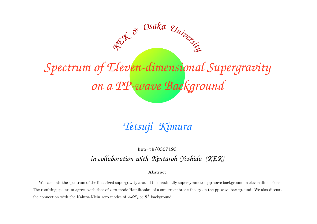# *Spectrum of Eleven-dimensional Supergravity on <sup>a</sup> PP-wave Background*

*<sup>K</sup>E<sup>K</sup> & <sup>O</sup>s<sup>a</sup>k<sup>a</sup> <sup>U</sup>niversit<sup>y</sup>*

*Tetsuji Kimura*

## hep-th/0307193 *in collaboration with Kentaroh Yoshida (KEK)*

#### Abstract

We calculate the spectrum of the linearized supergravity around the maximally supersymmetric pp-wave background in eleven dimensions. The resulting spectrum agrees with that of zero-mode Hamiltonian of <sup>a</sup> supermembrane theory on the pp-wave background. We also discuss the connection with the Kaluza-Klein zero modes of  $AdS_4 \times S^7$  background.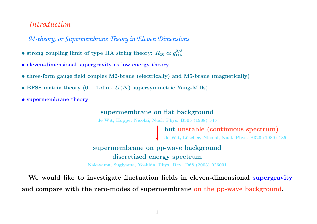# *Introduction*

*M-theory, or Supermembrane Theory in Eleven Dimensions*

- strong coupling limit of type IIA string theory:  $R_{10} \propto g_{\rm IIA}^{2/3}$
- eleven-dimensional supergravity as low energy theory
- three-form gauge field couples M2-brane (electrically) and M5-brane (magnetically)
- BFSS matrix theory  $(0 + 1$ -dim.  $U(N)$  supersymmetric Yang-Mills)
- supermembrane theory

#### supermembrane on flat background

de Wit, Hoppe, Nicolai, Nucl. Phys. B305 (1988) <sup>545</sup>

but unstable (continuous spectrum)

de Wit, Lüscher, Nicolai, Nucl. Phys. B320 (1989) 135

## supermembrane on pp-wave background discretized energy spectrum

Nakayama, Sugiyama, Yoshida, Phys. Rev. D68 (2003) <sup>026001</sup>

We would like to investigate fluctuation fields in eleven-dimensional supergravity and compare with the zero-modes of supermembrane on the pp-wave background.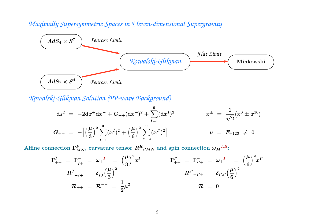## *Maximally Supersymmetric Spaces in Eleven-dimensional Supergravity*



*Kowalski-Glikman Solution (PP-wave Background)*

$$
\begin{array}{rcl}\mathrm{d}s^2&=&-2\mathrm{d}x^+\mathrm{d}x^-+G_{++}(\mathrm{d}x^+)^2+\sum\limits_{I=1}^9(\mathrm{d}x^I)^2&\phantom{z^2}&x^\pm&=&\frac{1}{\sqrt{2}}(x^0\pm x^{10})\\G_{++}&=&-\Big[\Big(\frac{\mu}{3}\Big)^2\sum\limits_{\widetilde{I}=1}^3(x^{\widetilde{I}})^2+\Big(\frac{\mu}{6}\Big)^2\sum\limits_{I'=4}^9(x^{I'})^2\Big]&\phantom{z^2&\phantom{z^2}&\phantom{z^2}&\phantom{z^2}&\phantom{z^2}&\phantom{z^2}&\phantom{z^2}&\phantom{z^2}&\phantom{z^2}&\phantom{z^2}&\phantom{z^2}&\phantom{z^2}&\phantom{z^2}&\phantom{z^2}&\phantom{z^2}&\phantom{z^2}&\phantom{z^2}&\phantom{z^2}&\phantom{z^2}&\phantom{z^2}&\phantom{z^2}&\phantom{z^2}&\phantom{z^2}&\phantom{z^2}&\phantom{z^2}&\phantom{z^2}&\phantom{z^2}&\phantom{z^2}&\phantom{z^2}&\phantom{z^2}&\phantom{z^2}&\phantom{z^2}&\phantom{z^2}&\phantom{z^2}&\phantom{z^2}&\phantom{z^2}&\phantom{z^2}&\phantom{z^2}&\phantom{z^2}&\phantom{z^2}&\phantom{z^2}&\phantom{z^2}&\phantom{z^2}&\phantom{z^2}&\phantom{z^2}&\phantom{z^2}&\phantom{z^2}&\phantom{z^2}&\phantom{z^2}&\phantom{z^2}&\phantom{z^2}&\phantom{z^2}&\phantom{z^2}&\phantom{z^2}&\phantom{z^2}&\phantom{z^2}&\phantom{z^2}&\phantom{z^2}&\phantom{z^2}&\phantom{z^2}&\phantom{z^2}&\phantom{z^2}&\phantom{z^2}&\phantom{z^2}&\phantom{z^2}&\phantom{z^2}&\phantom{z^2}&\phantom{z^2}&\phantom{z^2}&\phantom{z^2}&\phantom{z^2}&\phantom{z^2}&\phant
$$

Affine connection  $\Gamma_{MN}^P,$  curvature tensor  $R^R{}_{PMN}$  and spin connection  $\omega_M{}^{AB}$ :

$$
\Gamma_{++}^{\tilde{I}} = \Gamma_{\tilde{I}+}^{-} = \omega_{+}^{\tilde{I}-} = \left(\frac{\mu}{3}\right)^{2} x^{\tilde{I}}
$$
\n
$$
R_{++}^{\tilde{J}} = \delta_{\tilde{I}\tilde{J}} \left(\frac{\mu}{3}\right)^{2}
$$
\n
$$
R_{++}^{\tilde{J}} = \frac{1}{2} \mu^{2}
$$
\n
$$
R_{++}^{\tilde{J}+} = \frac{1}{2} \mu^{2}
$$
\n
$$
R_{++}^{\tilde{J}+} = \frac{1}{2} \mu^{2}
$$
\n
$$
R_{++}^{\tilde{J}+} = \frac{1}{2} \mu^{2}
$$
\n
$$
R_{++}^{\tilde{J}+} = \frac{1}{2} \mu^{2}
$$
\n
$$
R_{++}^{\tilde{J}+} = \frac{1}{2} \mu^{2}
$$
\n
$$
R_{++}^{\tilde{J}+} = \frac{1}{2} \mu^{2}
$$
\n
$$
R_{++}^{\tilde{J}+} = \frac{1}{2} \mu^{2}
$$
\n
$$
R_{++}^{\tilde{J}+} = \frac{1}{2} \mu^{2}
$$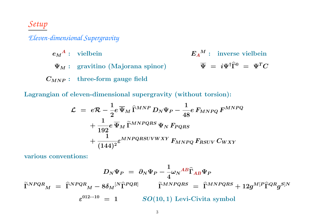# *Setup*

## *Eleven-dimensional Supergravity*

 $e_M{}^A$ : vielbein  $E_A{}^M$ : inverse vielbein  $\Psi_M: \;\; {\rm gravitino \;\; (Majorana \;\; spinor)} \;\;\;\;\;\;\;\;\;\;\;\;\;\; \overline{\Psi} \;=\; i \Psi^\dagger \widehat{\Gamma}^0 \;=\; \Psi^T C$  $C_{MNP}:$  three-form gauge field

Lagrangian of eleven-dimensional supergravity (without torsion):

$$
\begin{aligned} \mathcal{L} \; &= \; e \mathcal{R} - \frac{1}{2} e \, \overline{\Psi}_M \, \widehat{\Gamma}^{MNP} \, D_N \Psi_P - \frac{1}{48} e \, F_{MNPQ} \, F^{MNPQ} \\ &+ \frac{1}{192} e \, \overline{\Psi}_M \, \widetilde{\Gamma}^{MNPQRS} \, \Psi_N \, F_{PQRS} \\ &+ \frac{1}{(144)^2} \varepsilon^{MNPQRSUVWXY} \, F_{MNPQ} \, F_{RSUV} \, C_{WXY} \end{aligned}
$$

various conventions:

$$
D_N \Psi_P = \partial_N \Psi_P - \frac{1}{4} \omega_N {}^{AB} \hat{\Gamma}_{AB} \Psi_P
$$
  

$$
\tilde{\Gamma}^{NPQR}{}_M = \hat{\Gamma}^{NPQR}{}_M - 8 \delta_M {}^{[N} \hat{\Gamma}^{PQR]} \qquad \tilde{\Gamma}^{MNPQRS} = \hat{\Gamma}^{MNPQRS} + 12 g^{M[P} \hat{\Gamma}^{QR} g^{S]N}
$$
  

$$
\varepsilon^{012\cdots10} = 1 \qquad SO(10,1) \text{ Levi-Civita symbol}
$$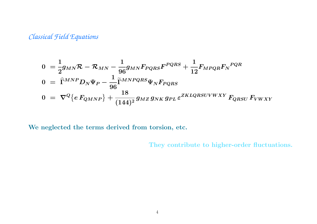# *Classical Field Equations*

$$
0 = \frac{1}{2}g_{MN}\mathcal{R} - \mathcal{R}_{MN} - \frac{1}{96}g_{MN}F_{PQRS}F^{PQRS} + \frac{1}{12}F_{MPQR}F_N^{PQR}
$$
  
\n
$$
0 = \hat{\Gamma}^{MNP}D_N\Psi_P - \frac{1}{96}\tilde{\Gamma}^{MNPQRS}\Psi_NF_{PQRS}
$$
  
\n
$$
0 = \nabla^Q \{eF_{QMNP}\} + \frac{18}{(144)^2}g_{MZ}g_{NK}g_{PL}\varepsilon^{ZKLQRSUVWXY}F_{QRSU}F_{VWXY}
$$

We neglected the terms derived from torsion, etc.

They contribute to higher-order fluctuations.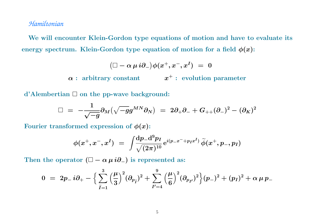#### *Hamiltonian*

We will encounter Klein-Gordon type equations of motion and have to evaluate its energy spectrum. Klein-Gordon type equation of motion for a field  $\phi(x)$ :

$$
\big( \Box - \alpha \, \mu \, i \partial_- \big) \phi(x^+,x^-,x^I) \; = \; 0
$$

 $\alpha: \text{ arbitrary constant} \hspace{20pt} x^+: \text{ evolution parameter}$ 

d'Alembertian  $\Box$  on the pp-wave background:

$$
\Box\,\,=\,\,-\frac{1}{\sqrt{-g}}\partial_M\big(\sqrt{-g}g^{MN}\partial_N\big)\,\,=\,\,2\partial_+\partial_-+G_{++}(\partial_-)^2-(\partial_K)^2
$$

Fourier transformed expression of  $\phi(x)$ :

$$
\phi(x^+,x^-,x^I) \,\,=\,\, \int\!\!\frac{\mathrm{d} p_- \mathrm{d}^9 p_I}{\sqrt{(2\pi)^{10}}}\, \mathrm{e}^{i(p_- x^- + p_I x^I)}\, \widetilde{\phi}(x^+,p_-,p_I)
$$

Then the operator  $(\Box - \alpha \, \mu \, i \partial_-)$  is represented as:

$$
0 \,\, = \,\, 2p_{-} \, i \partial_{+} - \Big\{ \sum_{\widetilde{I}=1}^3 \Big(\frac{\mu}{3}\Big)^2 (\partial_{p_{\widetilde{I}}})^2 + \sum_{I'=4}^9 \Big(\frac{\mu}{6}\Big)^2 (\partial_{p_{I'}})^2 \Big\} (p_{-})^2 + (p_{I})^2 + \alpha \, \mu \, p_{-}
$$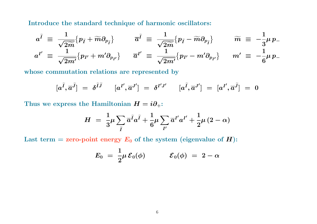Introduce the standard technique of harmonic oscillators:

$$
a^{\tilde{I}} \equiv \frac{1}{\sqrt{2\tilde{m}}} \{ p_{\tilde{I}} + \tilde{m} \partial_{p_{\tilde{I}}} \} \qquad \overline{a}^{\tilde{I}} \equiv \frac{1}{\sqrt{2\tilde{m}}} \{ p_{\tilde{I}} - \tilde{m} \partial_{p_{\tilde{I}}} \} \qquad \widetilde{m} \equiv -\frac{1}{3} \mu \, p_{-}
$$
  

$$
a^{I'} \equiv \frac{1}{\sqrt{2m'}} \{ p_{I'} + m' \partial_{p_{I'}} \} \qquad \overline{a}^{I'} \equiv \frac{1}{\sqrt{2m'}} \{ p_{I'} - m' \partial_{p_{I'}} \} \qquad m' \equiv -\frac{1}{6} \mu \, p_{-}
$$

whose commutation relations are represented by

$$
[a^{\widetilde{I}}, \overline{a}^{\widetilde{J}}] \,\, = \,\, \delta^{\widetilde{I}\widetilde{J}} \qquad [a^{I'}, \overline{a}^{J'}] \,\, = \,\, \delta^{I'J'} \qquad [a^{\widetilde{I}}, \overline{a}^{J'}] \,\, = \,\, [a^{I'}, \overline{a}^{\widetilde{J}}] \,\, = \,\, 0
$$

Thus we express the Hamiltonian  $H = i \partial_+$ :

$$
H \,\,=\,\,\frac{1}{3} \mu \sum_{\widetilde{I}} \overline{a}^{\widetilde{I}} a^{\widetilde{I}} + \frac{1}{6} \mu \sum_{I'} \overline{a}^{I'} a^{I'} + \frac{1}{2} \mu \,(2 - \alpha)
$$

Last term = zero-point energy  $E_0$  of the system (eigenvalue of  $\boldsymbol{H})$ :

$$
E_0 \,\,=\,\, \frac{1}{2} \mu \, {\cal E}_0(\phi) \hspace{1cm} {\cal E}_0(\phi) \,\,=\,\, 2 - \alpha
$$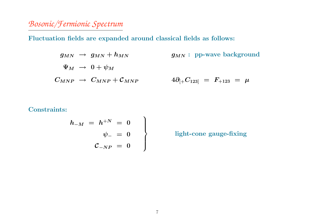# *Bosonic/Fermionic Spectrum*

Fluctuation fields are expanded around classical fields as follows:

$$
\begin{array}{lcl} g_{MN} & \rightarrow & g_{MN} + h_{MN} \qquad & g_{MN}: \text{ pp-wave background} \\\\ \Psi_M & \rightarrow & 0 + \psi_M \end{array}
$$
\n
$$
\begin{array}{lcl} C_{MNP} & \rightarrow & C_{MNP} + \mathcal{C}_{MNP} \qquad & 4 \partial_{[+} C_{123]} \; = & F_{+123} \; = & \mu \end{array}
$$

#### ${\rm Constraints:}$

$$
\begin{array}{rcl} h_{-M} & = & h^{+N} & = & 0 \\ & & \psi_{-} & = & 0 \\ & & \mathcal{C}_{-NP} & = & 0 \end{array}
$$

light-cone gauge-fixing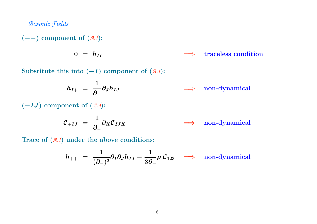#### *Bosonic Fields*

(−−) component of (*A.1*):

 $0$  =  $h_{II}$ traceless condition

Substitute this into (−<sup>I</sup>) component of (*A.1*):

$$
h_{I+} = \frac{1}{\partial_{-}} \partial_{J} h_{IJ} \qquad \Longrightarrow \quad \text{non-dynamical}
$$

 $(-IJ)$  component of  $(A.3)$ :

$$
C_{+IJ} = \frac{1}{\partial_-} \partial_K C_{IJK} \qquad \Longrightarrow \quad \text{non-dynamical}
$$

Trace of (*A.1*) under the above conditions:

$$
h_{++} \; = \; \frac{1}{(\partial_-)^2} \partial_I \partial_J h_{IJ} - \frac{1}{3\partial_-} \mu \, {\cal C}_{123} \quad \Longrightarrow \quad \text{non-dynamical}
$$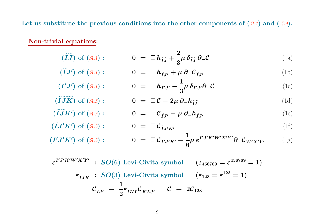Let us substitute the previous conditions into the other components of (*A.1*) and (*A.3*).

Non-trivial equations:

 $(\widetilde{\bm{I}}% )^{T}=\left( \widetilde{\bm{I}}\right) ^{-1}\left( \widetilde{\bm{I}}\right) ^{-1}\left( \widetilde{\bm{I}}\right) ^{-1}\left( \widetilde{\bm{I}}\right) ^{-1}\left( \widetilde{\bm{I}}\right) ^{-1}\left( \widetilde{\bm{I}}\right) ^{-1}\left( \widetilde{\bm{I}}\right) ^{-1}\left( \widetilde{\bm{I}}\right) ^{-1}\left( \widetilde{\bm{I}}\right) ^{-1}\left( \widetilde{\bm{I}}\right) ^{-1}\left( \widetilde{\bm{I}}\right) ^{-1}\left( \widetilde{\$  $\bm{I} \bm{J}$  $\widetilde{\phantom{m}}$ 

 $(\widetilde{\bm{I}}% )^{2n}=\bm{I}^{2n}(\widetilde{\bm{I}}\cdot \bm{I}^{2n})$ 

$$
(\widetilde{I}\widetilde{J}) \text{ of } (\mathcal{A}.\mathbf{1}) : \qquad \qquad 0 = \Box h_{\widetilde{I}\widetilde{J}} + \frac{2}{3}\mu \,\delta_{\widetilde{I}\widetilde{J}} \,\partial_-\mathcal{C} \qquad (1a)
$$

$$
(\widetilde{I}J') \text{ of } (\mathbf{A}.\mathbf{1}) : \qquad \qquad 0 = \Box h_{\widetilde{I}J'} + \mu \, \partial_- \mathcal{C}_{\widetilde{I}J'} \tag{1b}
$$

$$
(\mathbf{I}'\mathbf{J}') \text{ of } (\mathbf{A}.\mathbf{1}) : \qquad \qquad \mathbf{0} \ = \ \Box \, \mathbf{h}_{\mathbf{I}'\mathbf{J}'} - \frac{1}{3} \mu \, \delta_{\mathbf{I}'\mathbf{J}'} \partial_- \mathcal{C} \tag{1c}
$$

$$
(\widetilde{I}\widetilde{J}\widetilde{K}) \text{ of } (\mathcal{A}.\mathcal{J}): \qquad \qquad 0 = \Box \mathcal{C} - 2\mu \,\partial_- h_{\widetilde{I}\widetilde{I}} \tag{1d}
$$

$$
K') \text{ of } (\mathbf{A}.\mathbf{3}) : \qquad \qquad \mathbf{0} \ = \ \Box \ \mathcal{C}_{\tilde{I}J'} - \mu \ \partial_- h_{\tilde{I}J'} \qquad \qquad (1e)
$$

$$
J'K') \text{ of } (\mathbf{A}.\mathbf{3}) : \qquad \qquad \mathbf{0} \ = \ \Box \ \mathcal{C}_{\widetilde{I}J'K'} \tag{1f}
$$

$$
(I'J'K') \text{ of } (\mathbf{A}.\mathbf{3}) : \qquad \qquad 0 = \Box \mathcal{C}_{I'J'K'} - \frac{1}{6} \mu \, \varepsilon^{I'J'K'W'X'Y'} \partial_- \mathcal{C}_{W'X'Y'} \qquad (1g)
$$

$$
\varepsilon^{I'J'K'W'X'Y'} : SO(6) \text{ Levi-Civita symbol } (\varepsilon_{456789} = \varepsilon^{456789} = 1)
$$

$$
\varepsilon_{\widetilde{I}J\widetilde{K}} : SO(3) \text{ Levi-Civita symbol } (\varepsilon_{123} = \varepsilon^{123} = 1)
$$

$$
\mathcal{C}_{\widetilde{I}J'} \equiv \frac{1}{2} \varepsilon_{\widetilde{I}\widetilde{K}\widetilde{L}} \mathcal{C}_{\widetilde{K}\widetilde{L}J'} \quad \mathcal{C} \equiv 2\mathcal{C}_{123}
$$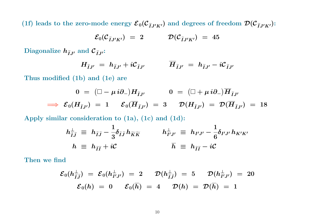(1f) leads to the zero-mode energy  $\mathcal{E}_0(C_{\tilde{I}J'K'})$  and degrees of freedom  $\mathcal{D}(C_{\tilde{I}J'K'})$ :

$$
\mathcal{E}_0(\mathcal{C}_{\widetilde{I}J'K'}) = 2 \qquad \qquad \mathcal{D}(\mathcal{C}_{\widetilde{I}J'K'}) = 45
$$

Diagonalize  $h_{\tilde{I}J'}$  and  $C_{\tilde{I}J'}$ :

$$
H_{\widetilde{I}J'} = h_{\widetilde{I}J'} + i\mathcal{C}_{\widetilde{I}J'} \qquad \overline{H}_{\widetilde{I}J'} = h_{\widetilde{I}J'} - i\mathcal{C}_{\widetilde{I}J'}
$$

Thus modified (1b) and (1e) are

$$
0 = (\Box - \mu i \partial_{-}) H_{\tilde{I}J'} \qquad 0 = (\Box + \mu i \partial_{-}) \overline{H}_{\tilde{I}J'} \n\implies \mathcal{E}_{0}(H_{\tilde{I}J'}) = 1 \qquad \mathcal{E}_{0}(\overline{H}_{\tilde{I}J'}) = 3 \qquad \mathcal{D}(H_{\tilde{I}J'}) = \mathcal{D}(\overline{H}_{\tilde{I}J'}) = 18
$$

Apply similar consideration to (1a), (1c) and (1d):

$$
h_{\tilde{I}\tilde{J}}^{\perp} \equiv h_{\tilde{I}\tilde{J}} - \frac{1}{3} \delta_{\tilde{I}\tilde{J}} h_{\widetilde{K}\widetilde{K}} \qquad h_{I'J'}^{\perp} \equiv h_{I'J'} - \frac{1}{6} \delta_{I'J'} h_{K'K'}
$$
  

$$
h \equiv h_{\tilde{I}\tilde{I}} + i\mathcal{C} \qquad \qquad \overline{h} \equiv h_{\tilde{I}\tilde{I}} - i\mathcal{C}
$$

Then we find

$$
\begin{array}{rclcl} {\mathcal E}_0(h_{\widetilde{I}\widetilde{J}}^{\perp})&=&{\mathcal E}_0(h_{I'J'}^{\perp})\;=\;2 &{\mathcal D}(h_{\widetilde{I}\widetilde{J}}^{\perp})\;=\;5 &{\mathcal D}(h_{I'J'}^{\perp})\;=\;20 \\[2mm] {\mathcal E}_0(h)\;=\;0 &{\mathcal E}_0(\overline{h})\;=\;4 &{\mathcal D}(h)\;=\;\mathcal D(\overline{h})\;=\;1 \end{array}
$$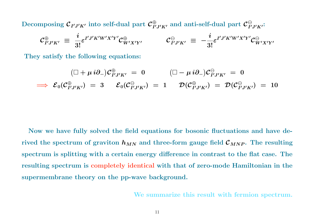Decomposing  $\mathcal{C}_{I'J'K'}$  into self-dual part  $\mathcal{C}_{I'J'K'}^{\oplus}$  and anti-self-dual part  $\mathcal{C}_{I'J'K'}^{\ominus}$ :

$$
\mathcal{C}_{I'J'K'}^{\oplus} \equiv \frac{i}{3!} \varepsilon^{I'J'K'W'X'Y'} \mathcal{C}_{W'X'Y'}^{\oplus} \qquad \mathcal{C}_{I'J'K'}^{\ominus} \equiv -\frac{i}{3!} \varepsilon^{I'J'K'W'X'Y'} \mathcal{C}_{W'X'Y'}^{\ominus}
$$

They satisfy the following equations:

$$
(\Box + \mu i \partial_{-}) \mathcal{C}_{I'J'K'}^{\oplus} = 0 \qquad (\Box - \mu i \partial_{-}) \mathcal{C}_{I'J'K'}^{\ominus} = 0
$$
  

$$
\implies \mathcal{E}_0(\mathcal{C}_{I'J'K'}^{\oplus}) = 3 \qquad \mathcal{E}_0(\mathcal{C}_{I'J'K'}^{\ominus}) = 1 \qquad \mathcal{D}(\mathcal{C}_{I'J'K'}^{\oplus}) = \mathcal{D}(\mathcal{C}_{I'J'K'}^{\ominus}) = 10
$$

Now we have fully solved the field equations for bosonic fluctuations and have derived the spectrum of graviton  $h_{MN}$  and three-form gauge field  ${\cal C}_{MNP}.$  The resulting spectrum is splitting with <sup>a</sup> certain energy difference in contrast to the flat case. The resulting spectrum is completely identical with that of zero-mode Hamiltonian in the supermembrane theory on the pp-wave background.

We summarize this result with fermion spectrum.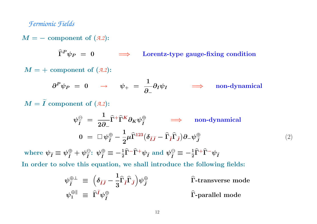#### *Fermionic Fields*

 $M = -$  component of  $(A.2)$ :

 $\boldsymbol{\Gamma}$ Lorentz-type gauge-fixing condition

 $M=+$  component of  $(A.2)$ :

$$
\partial^P \psi_P = 0 \qquad \rightarrow \qquad \psi_+ = \frac{1}{\partial_-} \partial_I \psi_I \qquad \Longrightarrow \qquad \text{non-dynamical}
$$

 $\bm{M}=\widetilde{\bm{I}}$  $\boldsymbol{I}$  component of  $(\mathcal{A}.2)$ :

$$
\psi_{\tilde{I}}^{\Theta} = \frac{1}{2\partial_{-}} \hat{\Gamma}^{+} \hat{\Gamma}^{K} \partial_{K} \psi_{\tilde{I}}^{\Theta} \implies \text{non-dynamical}
$$
  

$$
0 = \Box \psi_{\tilde{I}}^{\Theta} - \frac{1}{2} \mu \hat{\Gamma}^{123} (\delta_{\tilde{I}\tilde{J}} - \hat{\Gamma}_{\tilde{I}} \hat{\Gamma}_{\tilde{J}}) \partial_{-} \psi_{\tilde{J}}^{\Theta} \tag{2}
$$

where  $\psi_{\widetilde I}\equiv \psi_{\widetilde I}^\oplus + \psi_{\widetilde I}^\ominus\colon \psi_{\widetilde I}^\oplus\equiv -\frac{1}{2}\widehat\Gamma^+\widehat\Gamma^+\psi_{\widetilde I}$  and  $\psi_{\widetilde I}^\ominus\equiv -\frac{1}{2}\widehat\Gamma^+\widehat\Gamma^-\psi_{\widetilde I}$ 

In order to solve this equation, we shall introduce the following fields:

$$
\begin{aligned}\n\psi_{\tilde{I}}^{\oplus \perp} &\equiv \left(\delta_{\tilde{I}\tilde{J}} - \frac{1}{3}\widehat{\Gamma}_{\tilde{I}}\widehat{\Gamma}_{\tilde{J}}\right)\psi_{\tilde{J}}^{\oplus} \\
\psi_{1}^{\oplus \parallel} &\equiv \widehat{\Gamma}^{\tilde{I}}\psi_{\tilde{I}}^{\oplus} \\
\end{aligned}\n\qquad\n\begin{aligned}\n\widehat{\Gamma}\text{-transverse mode} \\
\widehat{\Gamma}\text{-parallel mode}\n\end{aligned}
$$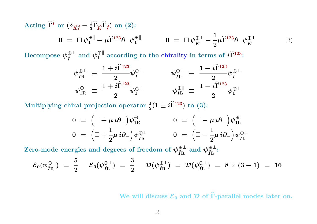Acting 
$$
\widehat{\mathbf{\Gamma}}^{\widetilde{I}}
$$
 or  $(\delta_{\widetilde{K}\widetilde{I}} - \frac{1}{3}\widehat{\mathbf{\Gamma}}_{\widetilde{K}}\widehat{\mathbf{\Gamma}}_{\widetilde{I}})$  on (2):

\n
$$
0 = \Box \psi_{1}^{\oplus \parallel} - \mu \widehat{\mathbf{\Gamma}}^{123} \partial_{-} \psi_{1}^{\oplus \parallel} \qquad 0 = \Box \psi_{\widetilde{K}}^{\oplus \perp} - \frac{1}{2} \mu \widehat{\mathbf{\Gamma}}^{123} \partial_{-} \psi_{\widetilde{K}}^{\oplus \perp} \qquad (3)
$$

Decompose  $\psi_{\tilde{t}}^{\oplus \perp}$  and  $\psi_1^{\oplus \parallel}$  according to the chirality in terms of  $i\hat{\Gamma}^{123}$ :

$$
\begin{array}{ccc} \psi_{\widetilde{I}\mathrm{R}}^{\oplus\perp} & \equiv \; \dfrac{1 + i\widehat{\Gamma}^{123}}{2} \psi_{\widetilde{I}}^{\oplus\perp} & \psi_{\widetilde{I}\mathrm{L}}^{\oplus\perp} \; \equiv \; \dfrac{1 - i\widehat{\Gamma}^{123}}{2} \psi_{\widetilde{I}}^{\oplus\perp} \\ \psi_{1\mathrm{R}}^{\oplus\parallel} & \equiv \; \dfrac{1 + i\widehat{\Gamma}^{123}}{2} \psi_{1}^{\oplus\perp} & \psi_{1\mathrm{L}}^{\oplus\parallel} \; \equiv \; \dfrac{1 - i\widehat{\Gamma}^{123}}{2} \psi_{1}^{\oplus\perp} \end{array}
$$

Multiplying chiral projection operator  $\frac{1}{2}(1 \pm i \hat{\Gamma}^{123})$  to (3):

$$
0 = (\Box + \mu i \partial_{-}) \psi_{1R}^{\oplus \|} \qquad 0 = (\Box - \mu i \partial_{-}) \psi_{1L}^{\oplus \|}
$$
  

$$
0 = (\Box + \frac{1}{2} \mu i \partial_{-}) \psi_{\tilde{I}R}^{\oplus \perp} \qquad 0 = (\Box - \frac{1}{2} \mu i \partial_{-}) \psi_{\tilde{I}L}^{\oplus \perp}
$$

Zero-mode energies and degrees of freedom of  $\psi^{\oplus \perp}_{\tilde{I}\text{R}}$  and  $\psi^{\oplus \perp}_{\tilde{I}\text{L}}$ :

$$
{\cal E}_0(\psi^{\oplus \perp}_{\tilde{I} \text{R}})\,\,=\,\,\frac{5}{2}\,\quad {\cal E}_0(\psi^{\oplus \perp}_{\tilde{I} \text{L}})\,\,=\,\,\frac{3}{2}\,\quad {\cal D}(\psi^{\oplus \perp}_{\tilde{I} \text{R}})\,\,=\,\, {\cal D}(\psi^{\oplus \perp}_{\tilde{I} \text{L}})\,\,=\,\,8\times (3-1)\,\,=\,\,16
$$

We will discuss  ${\cal E}_0$  and  ${\cal D}$  of  $\widehat \Gamma\text{-parallel}$  $\Gamma$ -parallel modes later on.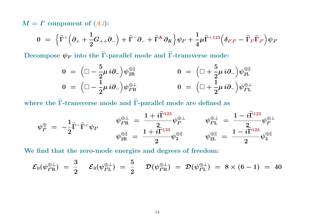$M = I'$  component of  $(A.2)$ :

$$
0 = \left\{ \widehat{\Gamma}^+ \Big( \partial_+ + \frac{1}{2} G_{++} \partial_- \Big) + \widehat{\Gamma}^- \partial_- + \widehat{\Gamma}^K \partial_K \right\} \psi_{I'} + \frac{1}{4} \mu \widehat{\Gamma}^{+123} \Big( \delta_{I'J'} - \widehat{\Gamma}_{I'} \widehat{\Gamma}_{J'} \Big) \psi_{J'}
$$

Decompose  $\psi_{I^\prime}$  into the  $\widehat{\Gamma}$ -parallel  $\widehat\Gamma$ -parallel mode and  $\widehat\Gamma$ -transv  $\Gamma\text{-transverse mode:}$ 

$$
0 = \left(\Box - \frac{5}{2}\mu i\partial_-\right)\psi_{2R}^{\oplus \|} \qquad 0 = \left(\Box + \frac{5}{2}\mu i\partial_-\right)\psi_{2L}^{\oplus \|}
$$
  

$$
0 = \left(\Box - \frac{1}{2}\mu i\partial_-\right)\psi_{I'R}^{\oplus \perp} \qquad 0 = \left(\Box + \frac{1}{2}\mu i\partial_-\right)\psi_{I'L}^{\oplus \perp}
$$

where the Γ  $\widehat{\phantom{1}}$  $\widehat\Gamma\text{-} \text{transverse mode}$  and  $\widehat\Gamma\text{-} \text{parallel}$  $\Gamma$ -parallel mode are defined as

$$
\psi^{\oplus}_{I'}\ =\ -\frac{1}{2}\widehat{\Gamma}^-\widehat{\Gamma}^+\psi_{I'} \qquad \qquad \psi^{\oplus\perp}_{I'\mathrm{R}}\ =\ \frac{1+i\widehat{\Gamma}^{123}}{2}\psi^{\oplus\perp}_{I'} \qquad \qquad \psi^{\oplus\perp}_{I'\mathrm{L}}\ =\ \frac{1-i\widehat{\Gamma}^{123}}{2}\psi^{\oplus\perp}_{I'} \\\ \psi^{\oplus\parallel}_{2\mathrm{R}}\ =\ \frac{1+i\widehat{\Gamma}^{123}}{2}\psi^{\oplus\parallel}_{2} \qquad \qquad \psi^{\oplus\parallel}_{2\mathrm{L}}\ =\ \frac{1-i\widehat{\Gamma}^{123}}{2}\psi^{\oplus\parallel}_{2}
$$

We find that the zero-mode energies and degrees of freedom:

$$
{\cal E}_0(\psi^{\oplus \perp}_{I^{\prime} \rm R}) \,\, = \,\, \frac{3}{2} \hspace{0.5cm} {\cal E}_0(\psi^{\oplus \perp}_{I^{\prime} \rm L}) \,\, = \,\, \frac{5}{2} \hspace{0.5cm} {\cal D}(\psi^{\oplus \perp}_{I^{\prime} \rm R}) \,\, = \,\, {\cal D}(\psi^{\oplus \perp}_{I^{\prime} \rm L}) \,\, = \,\, 8 \times (6-1) \,\, = \,\, 40
$$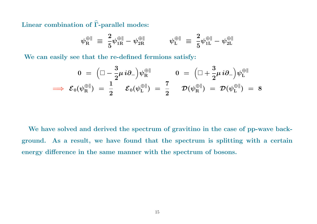Linear combination of  $\widehat\Gamma$ -parallel  $\Gamma$ -parallel modes:

$$
\psi^{\oplus\parallel}_\mathrm{R} \;\equiv\; \frac{2}{5} \psi^{\oplus\parallel}_{1\mathrm{R}} - \psi^{\oplus\parallel}_{2\mathrm{R}} \hspace{1cm} \psi^{\oplus\parallel}_\mathrm{L} \;\equiv\; \frac{2}{5} \psi^{\oplus\parallel}_{1\mathrm{L}} - \psi^{\oplus\parallel}_{2\mathrm{L}}
$$

We can easily see that the re-defined fermions satisfy:

$$
0\;=\;\Big(\Box -\frac{3}{2}\mu\,i\partial_-\Big)\psi^{\oplus\parallel}_\mathrm{R}\qquad \quad 0\;=\;\Big(\Box +\frac{3}{2}\mu\,i\partial_-\Big)\psi^{\oplus\parallel}_\mathrm{L}\\ \implies\; \mathcal{E}_0(\psi^{\oplus\parallel}_\mathrm{R})\;=\;\frac{1}{2}\qquad \mathcal{E}_0(\psi^{\oplus\parallel}_\mathrm{L})\;=\;\frac{7}{2}\qquad \mathcal{D}(\psi^{\oplus\parallel}_\mathrm{R})\;=\;\mathcal{D}(\psi^{\oplus\parallel}_\mathrm{L})\;=\;8
$$

We have solved and derived the spectrum of gravitino in the case of pp-wave background. As <sup>a</sup> result, we have found that the spectrum is splitting with <sup>a</sup> certain energy difference in the same manner with the spectrum of bosons.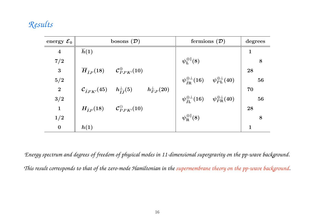# *Results*

| energy ${\cal E}_0$ | bosons $(\mathcal{D})$                                                                                                      | fermions $(D)$                                                                                       | degrees     |
|---------------------|-----------------------------------------------------------------------------------------------------------------------------|------------------------------------------------------------------------------------------------------|-------------|
| $\boldsymbol{4}$    | $\overline{h}(1)$                                                                                                           |                                                                                                      | $\mathbf 1$ |
| 7/2                 |                                                                                                                             | $\psi_{\rm L}^{\oplus\parallel}(8)$                                                                  | 8           |
| 3                   | $\overline{H}_{\tilde{L}I'}(18)$ $\mathcal{C}_{I'J'K'}^{\oplus}(10)$                                                        |                                                                                                      | 28          |
| 5/2                 |                                                                                                                             | $\psi_{\widetilde I \mathbf{R}}^{\oplus \perp}(16) \, \quad \psi_{I' \mathbf{L}}^{\oplus \perp}(40)$ | 56          |
| $\overline{2}$      | $\mathcal{C}_{\widetilde{I}J'K'}(45)$ $h^{\perp}_{\widetilde{I}\widetilde{I}}(5)$<br>$h_{I^{\prime}J^{\prime}}^{\perp}(20)$ |                                                                                                      | 70          |
| 3/2                 |                                                                                                                             | $\psi_{\tilde{I}L}^{\oplus\perp}(16) \quad \psi_{I'R}^{\oplus\perp}(40)$                             | 56          |
| $\mathbf{1}$        | $H_{\tilde{L}I'}(18)$ $C_{I'I'K'}^{\ominus}(10)$                                                                            |                                                                                                      | 28          |
| 1/2                 |                                                                                                                             | $\psi^{\oplus\parallel}_{\rm R}(8)$                                                                  | 8           |
| $\bf{0}$            | h(1)                                                                                                                        |                                                                                                      | $\mathbf 1$ |

Energy spectrum and degrees of freedom of physical modes in 11-dimensional supergravity on the pp-wave background. This result corresponds to that of the zero-mode Hamiltonian in the supermembrane theory on the pp-wave background.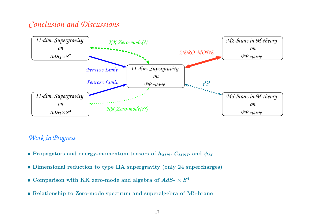# *Conclusion and Discussions*



## *Work in Progress*

- $\bullet$  Propagators and energy-momentum tensors of  $h_{MN},\,{\cal C}_{MNP}$  and  $\psi_M$
- Dimensional reduction to type IIA supergravity (only <sup>24</sup> supercharges)
- Comparison with KK zero-mode and algebra of  $AdS_7 \times S^4$
- Relationship to Zero-mode spectrum and superalgebra of M5-brane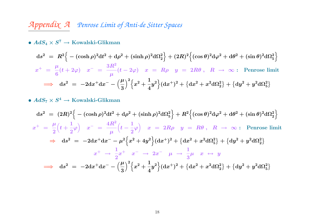# *Appendix <sup>A</sup> Penrose Limit of Anti-de Sitter Spaces*

 $\bullet \ AdS_4 \times S^7 \rightarrow \rm Kowalski-Glikman$ 

$$
ds^{2} = R^{2} \Big\{ -( \cosh \rho)^{2} dt^{2} + d\rho^{2} + (\sinh \rho)^{2} d\Omega_{2}^{2} \Big\} + (2R)^{2} \Big\{ (\cos \theta)^{2} d\varphi^{2} + d\theta^{2} + (\sin \theta)^{2} d\Omega_{5}^{2} \Big\}
$$
  

$$
x^{+} = \frac{\mu}{6} (t + 2\varphi) \quad x^{-} = \frac{3R^{2}}{\mu} (t - 2\varphi) \quad x^{-} = R\rho \quad y^{-} = 2R\theta \,, \quad R \to \infty: \text{ Penrose limit}
$$
  

$$
\implies ds^{2} = -2dx^{+} dx^{-} - \Big(\frac{\mu}{3}\Big)^{2} \Big\{ x^{2} + \frac{1}{4} y^{2} \Big\} (dx^{+})^{2} + \Big\{ dx^{2} + x^{2} d\Omega_{2}^{2} \Big\} + \Big\{ dy^{2} + y^{2} d\Omega_{5}^{2} \Big\}
$$

 $\bullet \ AdS_7 \times S^4 \to \mathrm{Kowalski\text{-}Glikman}$ 

$$
ds^{2} = (2R)^{2} \Big\{ -( \cosh \rho)^{2} dt^{2} + d\rho^{2} + (\sinh \rho)^{2} d\Omega_{5}^{2} \Big\} + R^{2} \Big\{ (\cos \theta)^{2} d\varphi^{2} + d\theta^{2} + (\sin \theta)^{2} d\Omega_{2}^{2} \Big\}
$$
  

$$
x^{+} = \frac{\mu}{2} \Big( t + \frac{1}{2} \varphi \Big) \quad x^{-} = \frac{4R^{2}}{\mu} \Big( t - \frac{1}{2} \varphi \Big) \quad x^{-} = 2R\rho \quad y = R\theta \,, \quad R \to \infty: \text{ Penrose limit}
$$
  

$$
\Rightarrow ds^{2} = -2dx^{+} dx^{-} - \mu^{2} \Big\{ x^{2} + 4y^{2} \Big\} (dx^{+})^{2} + \Big\{ dx^{2} + x^{2} d\Omega_{5}^{2} \Big\} + \Big\{ dy^{2} + y^{2} d\Omega_{2}^{2} \Big\}
$$
  

$$
x^{+} \to \frac{1}{2} x^{+} \quad x^{-} \to 2x^{-} \quad \mu \to \frac{1}{3} \mu \quad x \to y
$$
  

$$
\Rightarrow ds^{2} = -2dx^{+} dx^{-} - \Big(\frac{\mu}{3}\Big)^{2} \Big\{ x^{2} + \frac{1}{4} y^{2} \Big\} (dx^{+})^{2} + \Big\{ dx^{2} + x^{2} d\Omega_{2}^{2} \Big\} + \Big\{ dy^{2} + y^{2} d\Omega_{5}^{2} \Big\}
$$